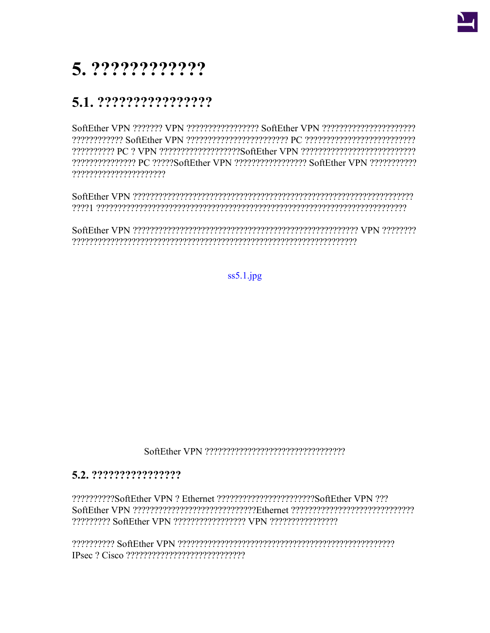

# 5. ?????????????

### 5.1. ?????????????????

22222222222 PC 2 VPN 222222222222222222356ftEther VPN 22222222222222222222222222 2222222222222222 PC 22222SoftEther VPN 2222222222222222 SoftEther VPN 22222222222 ??????????????????????

 $ss5.1$ .jpg

#### 5.2. ?????????????????

??????????SoftEther VPN ? Ethernet ??????????????????????SoftEther VPN ???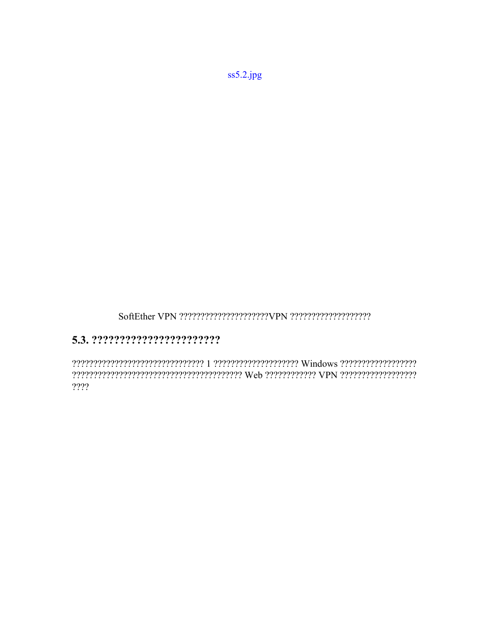$ss5.2.jpg$ 

#### 

 $??$ ?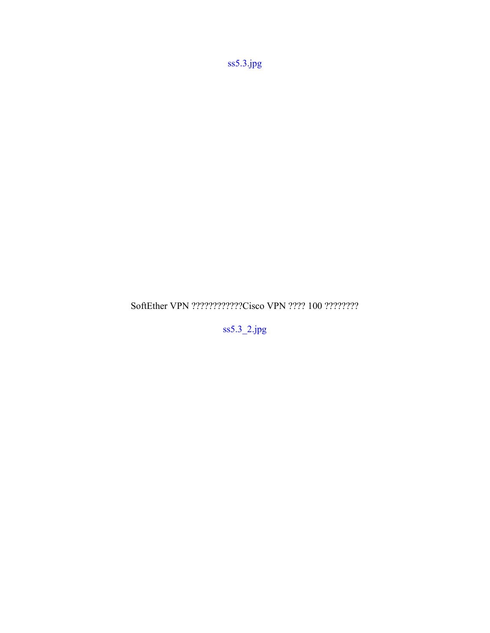[ss5.3.jpg](https://ja.softether.org/@api/deki/files/70/=ss5.3.jpg)

SoftEther VPN ????????????Cisco VPN ???? 100 ????????

[ss5.3\\_2.jpg](https://ja.softether.org/@api/deki/files/71/=ss5.3_2.jpg)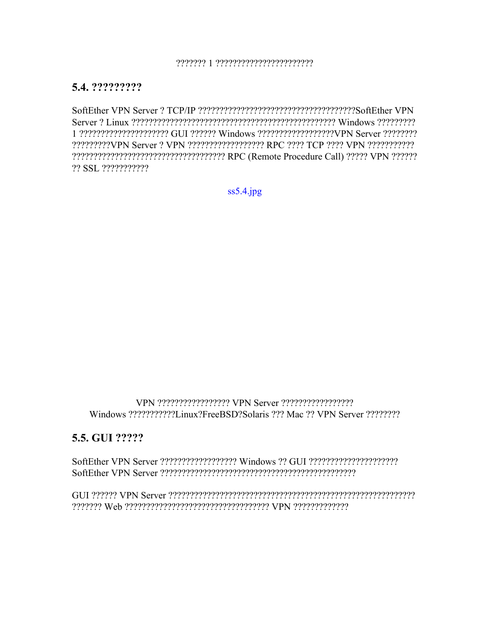#### **5.4. ?????????**

SoftEther VPN Server ? TCP/IP ?????????????????????????????????????SoftEther VPN Server ? Linux ???????????????????????????????????????????????? Windows ????????? 1 ????????????????????? GUI ?????? Windows ??????????????????VPN Server ???????? ?????????VPN Server ? VPN ?????????????????? RPC ???? TCP ???? VPN ??????????? ???????????????????????????????????? RPC (Remote Procedure Call) ????? VPN ?????? ?? SSL ???????????

[ss5.4.jpg](https://ja.softether.org/@api/deki/files/72/=ss5.4.jpg)

VPN ????????????????? VPN Server ????????????????? Windows ???????????Linux?FreeBSD?Solaris ??? Mac ?? VPN Server ????????

#### **5.5. GUI ?????**

SoftEther VPN Server ?????????????????? Windows ?? GUI ????????????????????? SoftEther VPN Server ??????????????????????????????????????????????

GUI ?????? VPN Server ?????????????????????????????????????????????????????????? ??????? Web ?????????????????????????????????? VPN ?????????????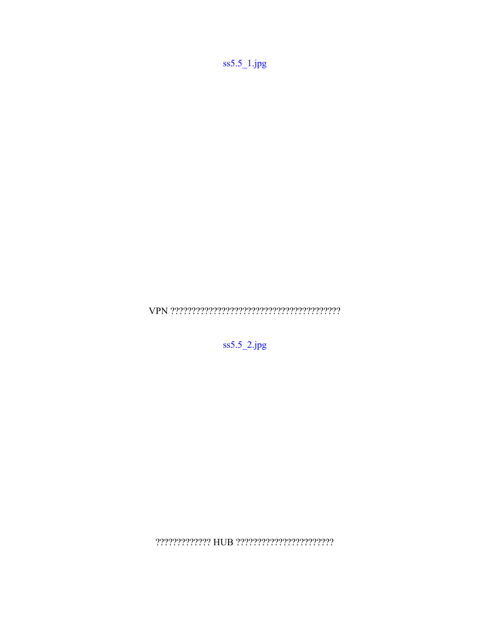$ss5.5$ <sup>1</sup>.jpg

 $\label{eq:VPN} \text{VPN} \text{ ????????????????????????????$ 

 $ss5.5_2$ .jpg

 $? ? ? ? ? ? ? ? ? ? ? HUB ? ? ? ? ? ? ? ? ? ? ? ? ? ? ? ? ? ? ? ?$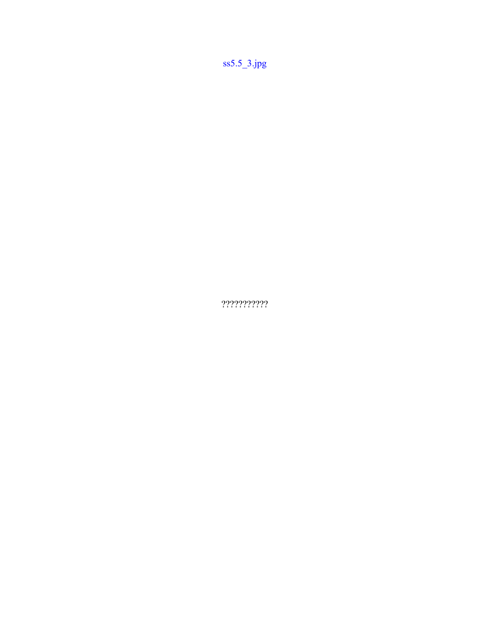$ss5.5_3$ .jpg

 $????????????$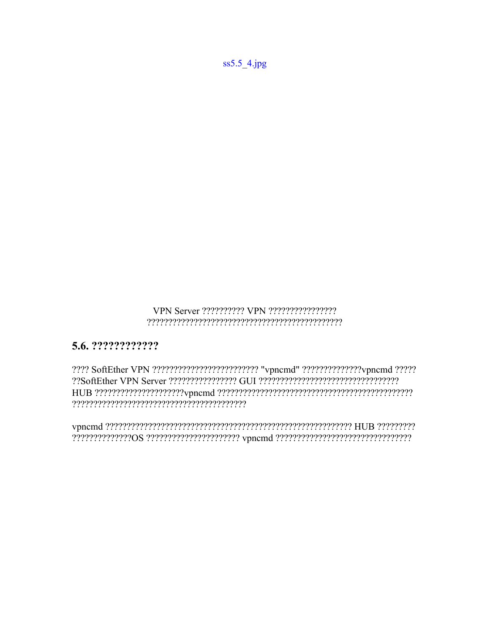## 

### 5.6. ????????????

???? SoftEther VPN ?????????????????????????? "vpncmd" ??????????????vpncmd ????? 

 $ss5.5_4$ .jpg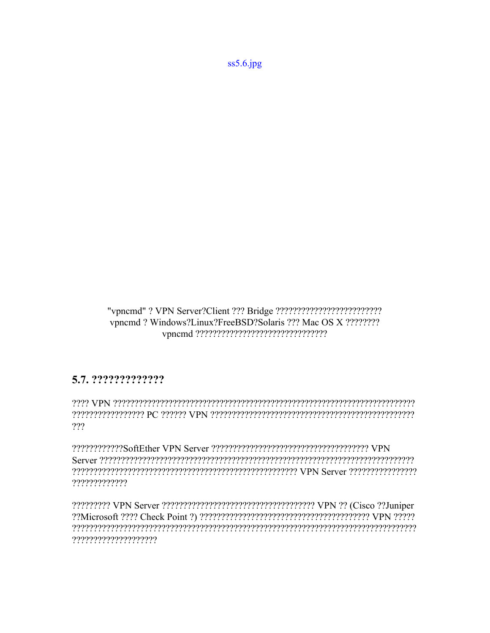$ss5.6$ .jpg

vpncmd? Windows?Linux?FreeBSD?Solaris ??? Mac OS X ???????? 

#### 5.7. ??????????????

recepteded of the Magnetic decomposition of the Magnetic Contract of the Contract of the Control of the Contro ???

?????????????

?????????????????????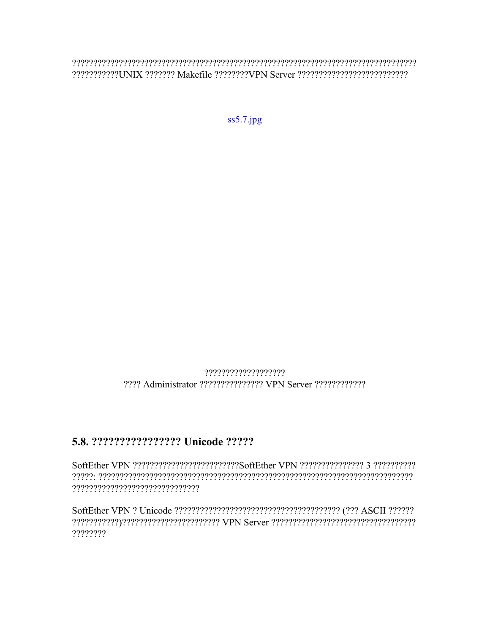222222222222220NIX 2222222 Makefile 22222222VPN Server 2222222222222222222222222

 $ss5.7$ .jpg

??????????????????? 

#### 5.8. ???????????????? Unicode ?????

????????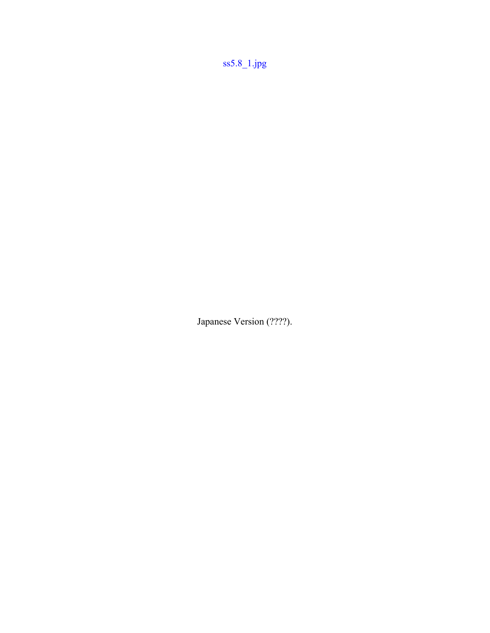[ss5.8\\_1.jpg](https://ja.softether.org/@api/deki/files/80/=ss5.8_1.jpg)

Japanese Version (????).